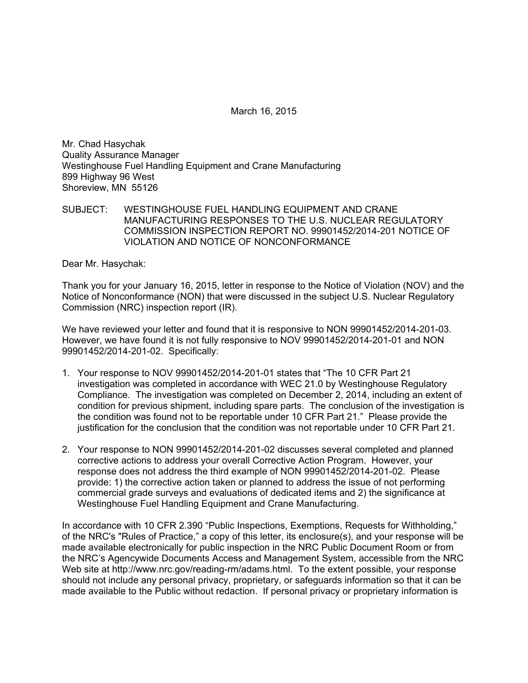March 16, 2015

Mr. Chad Hasychak Quality Assurance Manager Westinghouse Fuel Handling Equipment and Crane Manufacturing 899 Highway 96 West Shoreview, MN 55126

SUBJECT: WESTINGHOUSE FUEL HANDLING EQUIPMENT AND CRANE MANUFACTURING RESPONSES TO THE U.S. NUCLEAR REGULATORY COMMISSION INSPECTION REPORT NO. 99901452/2014-201 NOTICE OF VIOLATION AND NOTICE OF NONCONFORMANCE

Dear Mr. Hasychak:

Thank you for your January 16, 2015, letter in response to the Notice of Violation (NOV) and the Notice of Nonconformance (NON) that were discussed in the subject U.S. Nuclear Regulatory Commission (NRC) inspection report (IR).

We have reviewed your letter and found that it is responsive to NON 99901452/2014-201-03. However, we have found it is not fully responsive to NOV 99901452/2014-201-01 and NON 99901452/2014-201-02. Specifically:

- 1. Your response to NOV 99901452/2014-201-01 states that "The 10 CFR Part 21 investigation was completed in accordance with WEC 21.0 by Westinghouse Regulatory Compliance. The investigation was completed on December 2, 2014, including an extent of condition for previous shipment, including spare parts. The conclusion of the investigation is the condition was found not to be reportable under 10 CFR Part 21." Please provide the justification for the conclusion that the condition was not reportable under 10 CFR Part 21.
- 2. Your response to NON 99901452/2014-201-02 discusses several completed and planned corrective actions to address your overall Corrective Action Program. However, your response does not address the third example of NON 99901452/2014-201-02. Please provide: 1) the corrective action taken or planned to address the issue of not performing commercial grade surveys and evaluations of dedicated items and 2) the significance at Westinghouse Fuel Handling Equipment and Crane Manufacturing.

In accordance with 10 CFR 2.390 "Public Inspections, Exemptions, Requests for Withholding," of the NRC's "Rules of Practice," a copy of this letter, its enclosure(s), and your response will be made available electronically for public inspection in the NRC Public Document Room or from the NRC's Agencywide Documents Access and Management System, accessible from the NRC Web site at http://www.nrc.gov/reading-rm/adams.html. To the extent possible, your response should not include any personal privacy, proprietary, or safeguards information so that it can be made available to the Public without redaction. If personal privacy or proprietary information is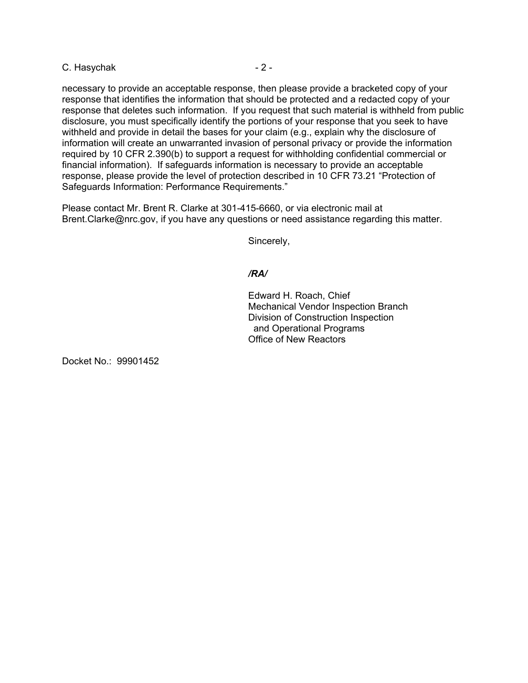# C. Hasychak - 2 -

necessary to provide an acceptable response, then please provide a bracketed copy of your response that identifies the information that should be protected and a redacted copy of your response that deletes such information. If you request that such material is withheld from public disclosure, you must specifically identify the portions of your response that you seek to have withheld and provide in detail the bases for your claim (e.g., explain why the disclosure of information will create an unwarranted invasion of personal privacy or provide the information required by 10 CFR 2.390(b) to support a request for withholding confidential commercial or financial information). If safeguards information is necessary to provide an acceptable response, please provide the level of protection described in 10 CFR 73.21 "Protection of Safeguards Information: Performance Requirements."

Please contact Mr. Brent R. Clarke at 301-415-6660, or via electronic mail at Brent.Clarke@nrc.gov, if you have any questions or need assistance regarding this matter.

Sincerely,

## */RA/*

Edward H. Roach, Chief Mechanical Vendor Inspection Branch Division of Construction Inspection and Operational Programs Office of New Reactors

Docket No.: 99901452